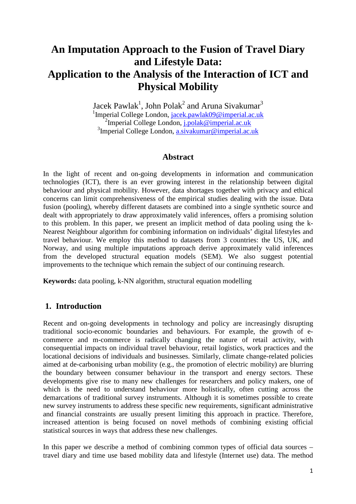# **An Imputation Approach to the Fusion of Travel Diary and Lifestyle Data: Application to the Analysis of the Interaction of ICT and Physical Mobility**

Jacek Pawlak<sup>1</sup>, John Polak<sup>2</sup> and Aruna Sivakumar<sup>3</sup> <sup>1</sup>Imperial College London, jacek.pawlak09@imperial.ac.uk <sup>2</sup>Imperial College London, j.polak@imperial.ac.uk <sup>3</sup>Imperial College London, a.sivakumar@imperial.ac.uk

### **Abstract**

In the light of recent and on-going developments in information and communication technologies (ICT), there is an ever growing interest in the relationship between digital behaviour and physical mobility. However, data shortages together with privacy and ethical concerns can limit comprehensiveness of the empirical studies dealing with the issue. Data fusion (pooling), whereby different datasets are combined into a single synthetic source and dealt with appropriately to draw approximately valid inferences, offers a promising solution to this problem. In this paper, we present an implicit method of data pooling using the k-Nearest Neighbour algorithm for combining information on individuals' digital lifestyles and travel behaviour. We employ this method to datasets from 3 countries: the US, UK, and Norway, and using multiple imputations approach derive approximately valid inferences from the developed structural equation models (SEM). We also suggest potential improvements to the technique which remain the subject of our continuing research.

**Keywords:** data pooling, k-NN algorithm, structural equation modelling

# **1. Introduction**

Recent and on-going developments in technology and policy are increasingly disrupting traditional socio-economic boundaries and behaviours. For example, the growth of ecommerce and m-commerce is radically changing the nature of retail activity, with consequential impacts on individual travel behaviour, retail logistics, work practices and the locational decisions of individuals and businesses. Similarly, climate change-related policies aimed at de-carbonising urban mobility (e.g., the promotion of electric mobility) are blurring the boundary between consumer behaviour in the transport and energy sectors. These developments give rise to many new challenges for researchers and policy makers, one of which is the need to understand behaviour more holistically, often cutting across the demarcations of traditional survey instruments. Although it is sometimes possible to create new survey instruments to address these specific new requirements, significant administrative and financial constraints are usually present limiting this approach in practice. Therefore, increased attention is being focused on novel methods of combining existing official statistical sources in ways that address these new challenges.

In this paper we describe a method of combining common types of official data sources – travel diary and time use based mobility data and lifestyle (Internet use) data. The method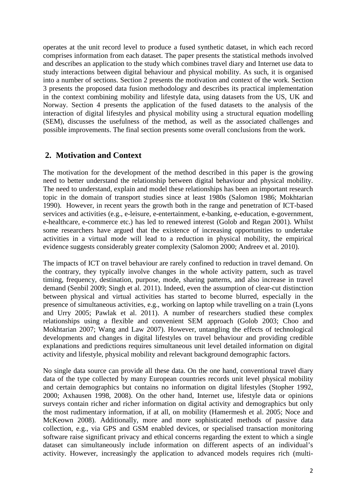operates at the unit record level to produce a fused synthetic dataset, in which each record comprises information from each dataset. The paper presents the statistical methods involved and describes an application to the study which combines travel diary and Internet use data to study interactions between digital behaviour and physical mobility. As such, it is organised into a number of sections. Section 2 presents the motivation and context of the work. Section 3 presents the proposed data fusion methodology and describes its practical implementation in the context combining mobility and lifestyle data, using datasets from the US, UK and Norway. Section 4 presents the application of the fused datasets to the analysis of the interaction of digital lifestyles and physical mobility using a structural equation modelling (SEM), discusses the usefulness of the method, as well as the associated challenges and possible improvements. The final section presents some overall conclusions from the work.

# **2. Motivation and Context**

The motivation for the development of the method described in this paper is the growing need to better understand the relationship between digital behaviour and physical mobility. The need to understand, explain and model these relationships has been an important research topic in the domain of transport studies since at least 1980s (Salomon 1986; Mokhtarian 1990). However, in recent years the growth both in the range and penetration of ICT-based services and activities (e.g., e-leisure, e-entertainment, e-banking, e-education, e-government, e-healthcare, e-commerce etc.) has led to renewed interest (Golob and Regan 2001). Whilst some researchers have argued that the existence of increasing opportunities to undertake activities in a virtual mode will lead to a reduction in physical mobility, the empirical evidence suggests considerably greater complexity (Salomon 2000; Andreev et al. 2010).

The impacts of ICT on travel behaviour are rarely confined to reduction in travel demand. On the contrary, they typically involve changes in the whole activity pattern, such as travel timing, frequency, destination, purpose, mode, sharing patterns, and also increase in travel demand (Senbil 2009; Singh et al. 2011). Indeed, even the assumption of clear-cut distinction between physical and virtual activities has started to become blurred, especially in the presence of simultaneous activities, e.g., working on laptop while travelling on a train (Lyons and Urry 2005; Pawlak et al. 2011). A number of researchers studied these complex relationships using a flexible and convenient SEM approach (Golob 2003; Choo and Mokhtarian 2007; Wang and Law 2007). However, untangling the effects of technological developments and changes in digital lifestyles on travel behaviour and providing credible explanations and predictions requires simultaneous unit level detailed information on digital activity and lifestyle, physical mobility and relevant background demographic factors.

No single data source can provide all these data. On the one hand, conventional travel diary data of the type collected by many European countries records unit level physical mobility and certain demographics but contains no information on digital lifestyles (Stopher 1992, 2000; Axhausen 1998, 2008). On the other hand, Internet use, lifestyle data or opinions surveys contain richer and richer information on digital activity and demographics but only the most rudimentary information, if at all, on mobility (Hamermesh et al. 2005; Noce and McKeown 2008). Additionally, more and more sophisticated methods of passive data collection, e.g., via GPS and GSM enabled devices, or specialised transaction monitoring software raise significant privacy and ethical concerns regarding the extent to which a single dataset can simultaneously include information on different aspects of an individual's activity. However, increasingly the application to advanced models requires rich (multi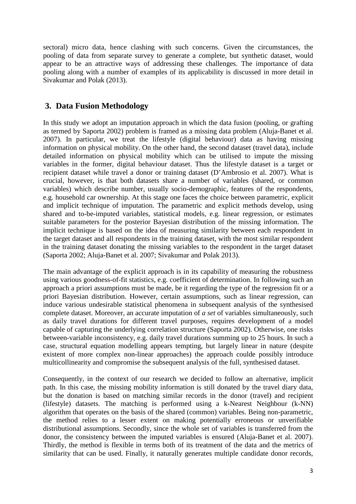sectoral) micro data, hence clashing with such concerns. Given the circumstances, the pooling of data from separate survey to generate a complete, but synthetic dataset, would appear to be an attractive ways of addressing these challenges. The importance of data pooling along with a number of examples of its applicability is discussed in more detail in Sivakumar and Polak (2013).

# **3. Data Fusion Methodology**

In this study we adopt an imputation approach in which the data fusion (pooling, or grafting as termed by Saporta 2002) problem is framed as a missing data problem (Aluja-Banet et al. 2007). In particular, we treat the lifestyle (digital behaviour) data as having missing information on physical mobility. On the other hand, the second dataset (travel data), include detailed information on physical mobility which can be utilised to impute the missing variables in the former, digital behaviour dataset. Thus the lifestyle dataset is a target or recipient dataset while travel a donor or training dataset (D'Ambrosio et al. 2007). What is crucial, however, is that both datasets share a number of variables (shared, or common variables) which describe number, usually socio-demographic, features of the respondents, e.g. household car ownership. At this stage one faces the choice between parametric, explicit and implicit technique of imputation. The parametric and explicit methods develop, using shared and to-be-imputed variables, statistical models, e.g. linear regression, or estimates suitable parameters for the posterior Bayesian distribution of the missing information. The implicit technique is based on the idea of measuring similarity between each respondent in the target dataset and all respondents in the training dataset, with the most similar respondent in the training dataset donating the missing variables to the respondent in the target dataset (Saporta 2002; Aluja-Banet et al. 2007; Sivakumar and Polak 2013).

The main advantage of the explicit approach is in its capability of measuring the robustness using various goodness-of-fit statistics, e.g. coefficient of determination. In following such an approach a priori assumptions must be made, be it regarding the type of the regression fit or a priori Bayesian distribution. However, certain assumptions, such as linear regression, can induce various undesirable statistical phenomena in subsequent analysis of the synthesised complete dataset. Moreover, an accurate imputation of *a set* of variables simultaneously, such as daily travel durations for different travel purposes, requires development of a model capable of capturing the underlying correlation structure (Saporta 2002). Otherwise, one risks between-variable inconsistency, e.g. daily travel durations summing up to 25 hours. In such a case, structural equation modelling appears tempting, but largely linear in nature (despite existent of more complex non-linear approaches) the approach coulde possibly introduce multicollinearity and compromise the subsequent analysis of the full, synthesised dataset.

Consequently, in the context of our research we decided to follow an alternative, implicit path. In this case, the missing mobility information is still donated by the travel diary data, but the donation is based on matching similar records in the donor (travel) and recipient (lifestyle) datasets. The matching is performed using a k-Nearest Neighbour (k-NN) algorithm that operates on the basis of the shared (common) variables. Being non-parametric, the method relies to a lesser extent on making potentially erroneous or unverifiable distributional assumptions. Secondly, since the whole set of variables is transferred from the donor, the consistency between the imputed variables is ensured (Aluja-Banet et al. 2007). Thirdly, the method is flexible in terms both of its treatment of the data and the metrics of similarity that can be used. Finally, it naturally generates multiple candidate donor records,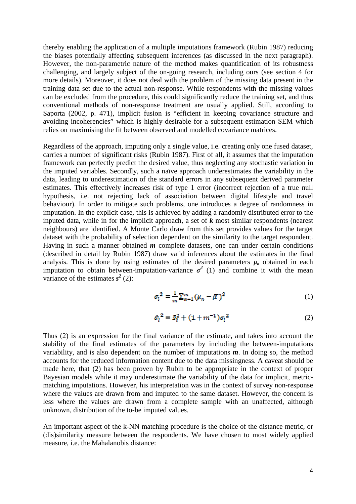thereby enabling the application of a multiple imputations framework (Rubin 1987) reducing the biases potentially affecting subsequent inferences (as discussed in the next paragraph). However, the non-parametric nature of the method makes quantification of its robustness challenging, and largely subject of the on-going research, including ours (see section 4 for more details). Moreover, it does not deal with the problem of the missing data present in the training data set due to the actual non-response. While respondents with the missing values can be excluded from the procedure, this could significantly reduce the training set, and thus conventional methods of non-response treatment are usually applied. Still, according to Saporta (2002, p. 471), implicit fusion is "efficient in keeping covariance structure and avoiding incoherencies" which is highly desirable for a subsequent estimation SEM which relies on maximising the fit between observed and modelled covariance matrices.

Regardless of the approach, imputing only a single value, i.e. creating only one fused dataset, carries a number of significant risks (Rubin 1987). First of all, it assumes that the imputation framework can perfectly predict the desired value, thus neglecting any stochastic variation in the imputed variables. Secondly, such a naïve approach underestimates the variability in the data, leading to underestimation of the standard errors in any subsequent derived parameter estimates. This effectively increases risk of type 1 error (incorrect rejection of a true null hypothesis, i.e. not rejecting lack of association between digital lifestyle and travel behaviour). In order to mitigate such problems, one introduces a degree of randomness in imputation. In the explicit case, this is achieved by adding a randomly distributed error to the inputed data, while in for the implicit approach, a set of *k* most similar respondents (nearest neighbours) are identified. A Monte Carlo draw from this set provides values for the target dataset with the probability of selection dependent on the similarity to the target respondent. Having in such a manner obtained *m* complete datasets, one can under certain conditions (described in detail by Rubin 1987) draw valid inferences about the estimates in the final analysis. This is done by using estimates of the desired parameters  $\mu_n$  obtained in each imputation to obtain between-imputation-variance  $\sigma^2$  (1) and combine it with the mean variance of the estimates  $s^2$  (2):

$$
\sigma_l^2 = \frac{1}{m} \sum_{n=1}^m (\mu_n - \overline{\mu})^2
$$
 (1)

$$
\hat{\sigma}_l^2 = \bar{s}_l^2 + (1 + m^{-1})\sigma_l^2 \tag{2}
$$

Thus (2) is an expression for the final variance of the estimate, and takes into account the stability of the final estimates of the parameters by including the between-imputations variability, and is also dependent on the number of imputations *m*. In doing so, the method accounts for the reduced information content due to the data missingness. A caveat should be made here, that (2) has been proven by Rubin to be appropriate in the context of proper Bayesian models while it may underestimate the variability of the data for implicit, metricmatching imputations. However, his interpretation was in the context of survey non-response where the values are drawn from and imputed to the same dataset. However, the concern is less where the values are drawn from a complete sample with an unaffected, although unknown, distribution of the to-be imputed values.

An important aspect of the k-NN matching procedure is the choice of the distance metric, or (dis)similarity measure between the respondents. We have chosen to most widely applied measure, i.e. the Mahalanobis distance: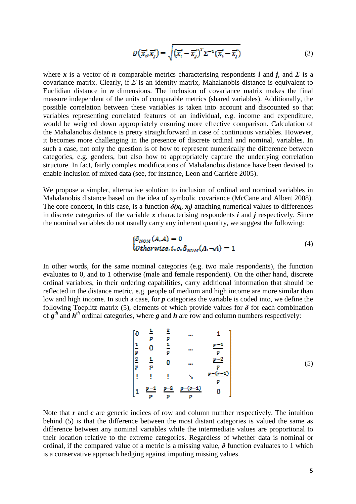$$
D\left(\overrightarrow{x_i}, \overrightarrow{x_j}\right) = \sqrt{\left(\overrightarrow{x_i} - \overrightarrow{x_j}\right)^T \Sigma^{-1} \left(\overrightarrow{x_i} - \overrightarrow{x_j}\right)}
$$
(3)

where *x* is a vector of *n* comparable metrics characterising respondents *i* and *j*, and *Σ* is a covariance matrix. Clearly, if  $\Sigma$  is an identity matrix, Mahalanobis distance is equivalent to Euclidian distance in  $n$  dimensions. The inclusion of covariance matrix makes the final measure independent of the units of comparable metrics (shared variables). Additionally, the possible correlation between these variables is taken into account and discounted so that variables representing correlated features of an individual, e.g. income and expenditure, would be weighed down appropriately ensuring more effective comparison. Calculation of the Mahalanobis distance is pretty straightforward in case of continuous variables. However, it becomes more challenging in the presence of discrete ordinal and nominal, variables. In such a case, not only the question is of how to represent numerically the difference between categories, e.g. genders, but also how to appropriately capture the underlying correlation structure. In fact, fairly complex modifications of Mahalanobis distance have been devised to enable inclusion of mixed data (see, for instance, Leon and Carrière 2005).

We propose a simpler, alternative solution to inclusion of ordinal and nominal variables in Mahalanobis distance based on the idea of symbolic covariance (McCane and Albert 2008). The core concept, in this case, is a function  $\delta(x_i, x_j)$  attaching numerical values to differences in discrete categories of the variable *x* characterising respondents *i* and *j* respectively. Since the nominal variables do not usually carry any inherent quantity, we suggest the following:

$$
\begin{aligned} \n\{\delta_{NOM}(A, A) = 0 \\ \n\text{Otherwise, i. e.} \n\delta_{NOM}(A, \neg A) = 1 \n\end{aligned} \tag{4}
$$

In other words, for the same nominal categories (e.g. two male respondents), the function evaluates to 0, and to 1 otherwise (male and female respondent). On the other hand, discrete ordinal variables, in their ordering capabilities, carry additional information that should be reflected in the distance metric, e.g. people of medium and high income are more similar than low and high income. In such a case, for *p* categories the variable is coded into, we define the following Toeplitz matrix (5), elements of which provide values for  $\delta$  for each combination of  $g<sup>th</sup>$  and  $h<sup>th</sup>$  ordinal categories, where  $g$  and  $h$  are row and column numbers respectively:

$$
\begin{bmatrix}\n0 & \frac{1}{p} & \frac{2}{p} & \dots & 1 \\
\frac{1}{p} & 0 & \frac{1}{p} & \dots & \frac{p-1}{p} \\
\frac{2}{p} & \frac{1}{p} & 0 & \dots & \frac{p-2}{p} \\
\vdots & \vdots & \vdots & \ddots & \vdots \\
1 & \frac{p-1}{p} & \frac{p-2}{p} & \frac{p-(r-1)}{p} & 0\n\end{bmatrix}
$$
\n(5)

Note that *r* and *c* are generic indices of row and column number respectively. The intuition behind (5) is that the difference between the most distant categories is valued the same as difference between any nominal variables while the intermediate values are proportional to their location relative to the extreme categories. Regardless of whether data is nominal or ordinal, if the compared value of a metric is a missing value,  $\delta$  function evaluates to 1 which is a conservative approach hedging against imputing missing values.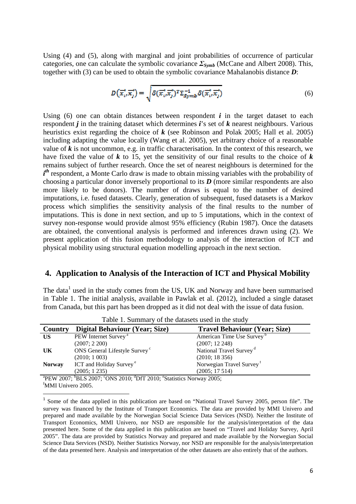Using (4) and (5), along with marginal and joint probabilities of occurrence of particular categories, one can calculate the symbolic covariance *ΣSymb* (McCane and Albert 2008). This, together with (3) can be used to obtain the symbolic covariance Mahalanobis distance *D*:

$$
D\left(\overrightarrow{x_i}, \overrightarrow{x_j}\right) = \sqrt{\delta(\overrightarrow{x_i}, \overrightarrow{x_j})^T \Sigma_{Symb}^{-1} \delta(\overrightarrow{x_i}, \overrightarrow{x_j})}
$$
(6)

Using (6) one can obtain distances between respondent *i* in the target dataset to each respondent *j* in the training dataset which determines *i*'s set of *k* nearest neighbours. Various heuristics exist regarding the choice of *k* (see Robinson and Polak 2005; Hall et al. 2005) including adapting the value locally (Wang et al. 2005), yet arbitrary choice of a reasonable value of *k* is not uncommon, e.g. in traffic characterisation. In the context of this research, we have fixed the value of *k* to 15, yet the sensitivity of our final results to the choice of *k*  remains subject of further research. Once the set of nearest neighbours is determined for the  $i<sup>th</sup>$  respondent, a Monte Carlo draw is made to obtain missing variables with the probability of choosing a particular donor inversely proportional to its *D* (more similar respondents are also more likely to be donors). The number of draws is equal to the number of desired imputations, i.e. fused datasets. Clearly, generation of subsequent, fused datasets is a Markov process which simplifies the sensitivity analysis of the final results to the number of imputations. This is done in next section, and up to 5 imputations, which in the context of survey non-response would provide almost 95% efficiency (Rubin 1987). Once the datasets are obtained, the conventional analysis is performed and inferences drawn using (2). We present application of this fusion methodology to analysis of the interaction of ICT and physical mobility using structural equation modelling approach in the next section.

### **4. Application to Analysis of the Interaction of ICT and Physical Mobility**

The data<sup>1</sup> used in the study comes from the US, UK and Norway and have been summarised in Table 1. The initial analysis, available in Pawlak et al. (2012), included a single dataset from Canada, but this part has been dropped as it did not deal with the issue of data fusion.

| Twore 1. Dummary or the autubels about in the state |                                           |                                       |  |  |  |  |  |  |  |
|-----------------------------------------------------|-------------------------------------------|---------------------------------------|--|--|--|--|--|--|--|
| Country                                             | <b>Digital Behaviour (Year; Size)</b>     | <b>Travel Behaviour (Year; Size)</b>  |  |  |  |  |  |  |  |
| US                                                  | PEW Internet Survey <sup>a</sup>          | American Time Use Survey <sup>b</sup> |  |  |  |  |  |  |  |
|                                                     | (2007; 2200)                              | (2007; 12248)                         |  |  |  |  |  |  |  |
| UK                                                  | ONS General Lifestyle Survey <sup>c</sup> | National Travel Survey <sup>d</sup>   |  |  |  |  |  |  |  |
|                                                     | (2010; 1003)                              | (2010; 18356)                         |  |  |  |  |  |  |  |
| <b>Norway</b>                                       | ICT and Holiday Survey <sup>e</sup>       | Norwegian Travel Survey <sup>f</sup>  |  |  |  |  |  |  |  |
|                                                     | (2005; 1235)                              | (2005; 17514)                         |  |  |  |  |  |  |  |
|                                                     |                                           |                                       |  |  |  |  |  |  |  |

Table 1. Summary of the datasets used in the study

<sup>a</sup>PEW 2007; <sup>b</sup>BLS 2007; <sup>c</sup>ONS 2010; <sup>d</sup>DfT 2010; <sup>e</sup>Statistics Norway 2005; <sup>f</sup>MMI Univero 2005.

l

<sup>&</sup>lt;sup>1</sup> Some of the data applied in this publication are based on "National Travel Survey 2005, person file". The survey was financed by the Institute of Transport Economics. The data are provided by MMI Univero and prepared and made available by the Norwegian Social Science Data Services (NSD). Neither the Institute of Transport Economics, MMI Univero, nor NSD are responsible for the analysis/interpretation of the data presented here. Some of the data applied in this publication are based on "Travel and Holiday Survey, April 2005". The data are provided by Statistics Norway and prepared and made available by the Norwegian Social Science Data Services (NSD). Neither Statistics Norway, nor NSD are responsible for the analysis/interpretation of the data presented here. Analysis and interpretation of the other datasets are also entirely that of the authors.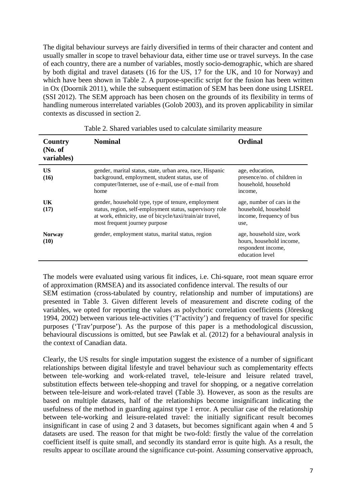The digital behaviour surveys are fairly diversified in terms of their character and content and usually smaller in scope to travel behaviour data, either time use or travel surveys. In the case of each country, there are a number of variables, mostly socio-demographic, which are shared by both digital and travel datasets (16 for the US, 17 for the UK, and 10 for Norway) and which have been shown in Table 2. A purpose-specific script for the fusion has been written in Ox (Doornik 2011), while the subsequent estimation of SEM has been done using LISREL (SSI 2012). The SEM approach has been chosen on the grounds of its flexibility in terms of handling numerous interrelated variables (Golob 2003), and its proven applicability in similar contexts as discussed in section 2.

| Country<br>No. of<br>variables) | <b>Nominal</b>                                                                                                                                                                                               | <b>Ordinal</b>                                                                                 |
|---------------------------------|--------------------------------------------------------------------------------------------------------------------------------------------------------------------------------------------------------------|------------------------------------------------------------------------------------------------|
| US<br>(16)                      | gender, marital status, state, urban area, race, Hispanic<br>background, employment, student status, use of<br>computer/Internet, use of e-mail, use of e-mail from<br>home                                  | age, education,<br>presence/no. of children in<br>household, household<br>income,              |
| UK<br>(17)                      | gender, household type, type of tenure, employment<br>status, region, self-employment status, supervisory role<br>at work, ethnicity, use of bicycle/taxi/train/air travel,<br>most frequent journey purpose | age, number of cars in the<br>household, household<br>income, frequency of bus<br>use,         |
| <b>Norway</b><br>(10)           | gender, employment status, marital status, region                                                                                                                                                            | age, household size, work<br>hours, household income,<br>respondent income,<br>education level |

| Table 2. Shared variables used to calculate similarity measure |  |
|----------------------------------------------------------------|--|
|----------------------------------------------------------------|--|

The models were evaluated using various fit indices, i.e. Chi-square, root mean square error of approximation (RMSEA) and its associated confidence interval. The results of our SEM estimation (cross-tabulated by country, relationship and number of imputations) are presented in Table 3. Given different levels of measurement and discrete coding of the variables, we opted for reporting the values as polychoric correlation coefficients (Jöreskog 1994, 2002) between various tele-activities ('T'activity') and frequency of travel for specific purposes ('Trav'purpose'). As the purpose of this paper is a methodological discussion, behavioural discussions is omitted, but see Pawlak et al. (2012) for a behavioural analysis in the context of Canadian data.

Clearly, the US results for single imputation suggest the existence of a number of significant relationships between digital lifestyle and travel behaviour such as complementarity effects between tele-working and work-related travel, tele-leisure and leisure related travel, substitution effects between tele-shopping and travel for shopping, or a negative correlation between tele-leisure and work-related travel (Table 3). However, as soon as the results are based on multiple datasets, half of the relationships become insignificant indicating the usefulness of the method in guarding against type 1 error. A peculiar case of the relationship between tele-working and leisure-related travel: the initially significant result becomes insignificant in case of using 2 and 3 datasets, but becomes significant again when 4 and 5 datasets are used. The reason for that might be two-fold: firstly the value of the correlation coefficient itself is quite small, and secondly its standard error is quite high. As a result, the results appear to oscillate around the significance cut-point. Assuming conservative approach,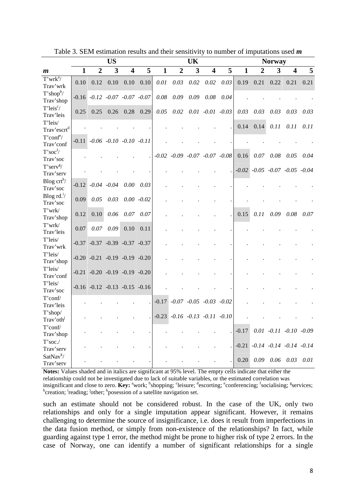|                                       | <b>US</b><br>UK |                         |                                         |                         |               |              |                  |      | <b>Norway</b>                           |      |         |                                         |      |                                 |      |
|---------------------------------------|-----------------|-------------------------|-----------------------------------------|-------------------------|---------------|--------------|------------------|------|-----------------------------------------|------|---------|-----------------------------------------|------|---------------------------------|------|
| m                                     | $\mathbf{1}$    | $\boldsymbol{2}$        | 3                                       | $\overline{\mathbf{4}}$ | 5             | $\mathbf{1}$ | $\boldsymbol{2}$ | 3    | 4                                       | 5    | 1       | 2                                       | 3    | 4                               | 5    |
| $T'$ wrk $a$ /<br>Trav'wrk            | 0.10            | 0.12                    | 0.10                                    | 0.10                    | 0.10          | 0.01         | 0.03             | 0.02 | 0.02                                    | 0.03 | 0.19    | 0.21                                    | 0.22 | 0.21                            | 0.21 |
| $T'shop^b$<br>Trav'shop               |                 |                         | $-0.16$ $-0.12$ $-0.07$ $-0.07$ $-0.07$ |                         |               | 0.08         | 0.09             | 0.09 | 0.08                                    | 0.04 |         |                                         |      |                                 |      |
| T'leis <sup>c</sup> /<br>Trav'leis    | 0.25            | 0.25                    | 0.26                                    | 0.28                    | 0.29          | 0.05         | 0.02             |      | $0.01 - 0.01 - 0.03$                    |      | 0.03    | 0.03                                    | 0.03 | 0.03                            | 0.03 |
| T'leis/<br>Trav'escrt <sup>d</sup>    |                 |                         |                                         |                         |               |              |                  |      |                                         |      | 0.14    | 0.14                                    | 0.11 | 0.11                            | 0.11 |
| T'conf <sup>e</sup> /<br>Trav'conf    |                 |                         | $-0.11$ $-0.06$ $-0.10$ $-0.10$ $-0.11$ |                         |               |              |                  |      |                                         |      |         |                                         |      |                                 |      |
| $T'$ soc $\frac{f}{f}$<br>Trav'soc    |                 |                         |                                         |                         |               |              |                  |      | $-0.02$ $-0.09$ $-0.07$ $-0.07$ $-0.08$ |      | 0.16    | 0.07                                    | 0.08 | 0.05                            | 0.04 |
| $T'$ serv <sup>g</sup> /<br>Trav'serv |                 |                         |                                         |                         |               |              |                  |      |                                         |      |         | $-0.02$ $-0.05$ $-0.07$ $-0.05$ $-0.04$ |      |                                 |      |
| Blog $\text{crt}^h$ /<br>Trav'soc     |                 | $-0.12$ $-0.04$ $-0.04$ |                                         | 0.00                    | 0.03          |              |                  |      |                                         |      |         |                                         |      |                                 |      |
| Blog $rd.'/$<br>Trav'soc              | 0.09            | 0.05                    | 0.03                                    |                         | $0.00 - 0.02$ |              |                  |      |                                         |      |         |                                         |      |                                 |      |
| T'wrk/<br>Trav'shop                   | 0.12            | 0.10                    | 0.06                                    | 0.07                    | 0.07          |              |                  |      |                                         |      | 0.15    | 0.11                                    | 0.09 | 0.08                            | 0.07 |
| $T'$ wrk $/$<br>Trav'leis             | 0.07            | 0.07                    | 0.09                                    | 0.10                    | 0.11          |              |                  |      |                                         |      |         |                                         |      |                                 |      |
| T'leis/<br>Trav'wrk                   |                 |                         | $-0.37$ $-0.37$ $-0.39$ $-0.37$ $-0.37$ |                         |               |              |                  |      |                                         |      |         |                                         |      |                                 |      |
| T'leis/<br>Trav'shop                  |                 |                         | $-0.20$ $-0.21$ $-0.19$ $-0.19$ $-0.20$ |                         |               |              |                  |      |                                         |      |         |                                         |      |                                 |      |
| T'leis/<br>Trav'conf                  |                 |                         | $-0.21$ $-0.20$ $-0.19$ $-0.19$ $-0.20$ |                         |               |              |                  |      |                                         |      |         |                                         |      |                                 |      |
| T'leis/<br>Trav'soc                   |                 |                         | $-0.16$ $-0.12$ $-0.13$ $-0.15$ $-0.16$ |                         |               |              |                  |      |                                         |      |         |                                         |      |                                 |      |
| T'conf/<br>Trav'leis                  |                 |                         |                                         |                         |               | $-0.17$      |                  |      | $-0.07$ $-0.05$ $-0.03$ $-0.02$         |      |         |                                         |      |                                 |      |
| T'shop/<br>Trav'oth                   |                 |                         |                                         |                         |               |              |                  |      | $-0.23$ $-0.16$ $-0.13$ $-0.11$ $-0.10$ |      |         |                                         |      |                                 |      |
| $T'$ conf<br>Trav'shop                |                 |                         |                                         |                         |               |              |                  |      |                                         |      | $-0.17$ |                                         |      | $0.01 -0.11 -0.10 -0.09$        |      |
| $T'$ soc./<br>Trav'serv               |                 |                         |                                         |                         |               |              |                  |      |                                         |      | $-0.21$ |                                         |      | $-0.14$ $-0.14$ $-0.14$ $-0.14$ |      |
| SatNav <sup>k</sup> /<br>Trav'serv    |                 |                         |                                         |                         |               |              |                  |      |                                         |      | 0.20    |                                         |      | $0.09$ $0.06$ $0.03$ $0.01$     |      |

Table 3. SEM estimation results and their sensitivity to number of imputations used *m*

**Notes:** Values shaded and in italics are significant at 95% level. The empty cells indicate that either the

relationship could not be investigated due to lack of suitable variables, or the estimated correlation was

insignificant and close to zero. **Key:** <sup>a</sup>work; <sup>b</sup>shopping; <sup>c</sup>leisure; <sup>d</sup>escorting; <sup>e</sup>conferencing; <sup>f</sup>socialising; <sup>g</sup>services; <sup>h</sup>creation; <sup>i</sup>reading; <sup>j</sup>other; <sup>k</sup>posession of a satellite navigation set.

such an estimate should not be considered robust. In the case of the UK, only two relationships and only for a single imputation appear significant. However, it remains challenging to determine the source of insignificance, i.e. does it result from imperfections in the data fusion method, or simply from non-existence of the relationships? In fact, while guarding against type 1 error, the method might be prone to higher risk of type 2 errors. In the case of Norway, one can identify a number of significant relationships for a single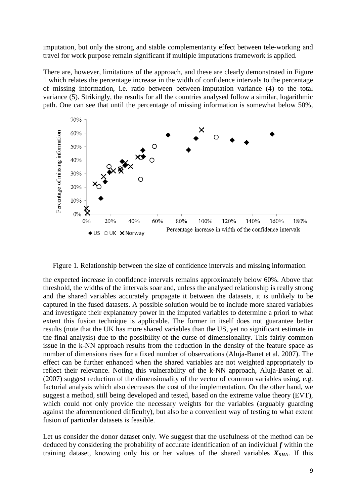imputation, but only the strong and stable complementarity effect between tele-working and travel for work purpose remain significant if multiple imputations framework is applied.

There are, however, limitations of the approach, and these are clearly demonstrated in Figure 1 which relates the percentage increase in the width of confidence intervals to the percentage of missing information, i.e. ratio between between-imputation variance (4) to the total variance (5). Strikingly, the results for all the countries analysed follow a similar, logarithmic path. One can see that until the percentage of missing information is somewhat below 50%,



Figure 1. Relationship between the size of confidence intervals and missing information

the expected increase in confidence intervals remains approximately below 60%. Above that threshold, the widths of the intervals soar and, unless the analysed relationship is really strong and the shared variables accurately propagate it between the datasets, it is unlikely to be captured in the fused datasets. A possible solution would be to include more shared variables and investigate their explanatory power in the imputed variables to determine a priori to what extent this fusion technique is applicable. The former in itself does not guarantee better results (note that the UK has more shared variables than the US, yet no significant estimate in the final analysis) due to the possibility of the curse of dimensionality. This fairly common issue in the k-NN approach results from the reduction in the density of the feature space as number of dimensions rises for a fixed number of observations (Aluja-Banet et al. 2007). The effect can be further enhanced when the shared variables are not weighted appropriately to reflect their relevance. Noting this vulnerability of the k-NN approach, Aluja-Banet et al. (2007) suggest reduction of the dimensionality of the vector of common variables using, e.g. factorial analysis which also decreases the cost of the implementation. On the other hand, we suggest a method, still being developed and tested, based on the extreme value theory (EVT), which could not only provide the necessary weights for the variables (arguably guarding against the aforementioned difficulty), but also be a convenient way of testing to what extent fusion of particular datasets is feasible.

Let us consider the donor dataset only. We suggest that the usefulness of the method can be deduced by considering the probability of accurate identification of an individual *f* within the training dataset, knowing only his or her values of the shared variables  $X_{SHA}$ . If this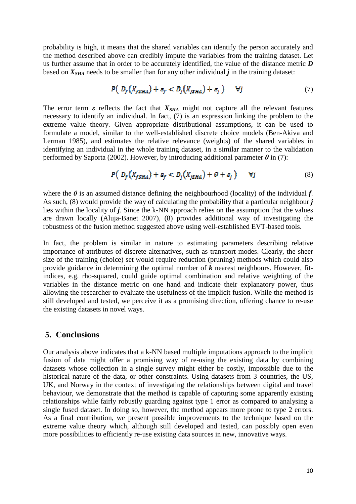probability is high, it means that the shared variables can identify the person accurately and the method described above can credibly impute the variables from the training dataset. Let us further assume that in order to be accurately identified, the value of the distance metric *D* based on  $X_{SHA}$  needs to be smaller than for any other individual  $j$  in the training dataset:

$$
P\left(D_f\left(X_{fSHA}\right) + \varepsilon_f < D_j\left(X_{jSHA}\right) + \varepsilon_j\right) \quad \forall j \tag{7}
$$

The error term  $\varepsilon$  reflects the fact that  $X_{SHA}$  might not capture all the relevant features necessary to identify an individual. In fact, (7) is an expression linking the problem to the extreme value theory. Given appropriate distributional assumptions, it can be used to formulate a model, similar to the well-established discrete choice models (Ben-Akiva and Lerman 1985), and estimates the relative relevance (weights) of the shared variables in identifying an individual in the whole training dataset, in a similar manner to the validation performed by Saporta (2002). However, by introducing additional parameter  $\theta$  in (7):

$$
P\left(D_f\left(X_{fSHA}\right) + \varepsilon_f < D_j\left(X_{jSHA}\right) + \theta + \varepsilon_j\right) \quad \forall j \tag{8}
$$

where the  $\theta$  is an assumed distance defining the neighbourhood (locality) of the individual  $f$ . As such, (8) would provide the way of calculating the probability that a particular neighbour *j* lies within the locality of *j*. Since the k-NN approach relies on the assumption that the values are drawn locally (Aluja-Banet 2007), (8) provides additional way of investigating the robustness of the fusion method suggested above using well-established EVT-based tools.

In fact, the problem is similar in nature to estimating parameters describing relative importance of attributes of discrete alternatives, such as transport modes. Clearly, the sheer size of the training (choice) set would require reduction (pruning) methods which could also provide guidance in determining the optimal number of *k* nearest neighbours. However, fitindices, e.g. rho-squared, could guide optimal combination and relative weighting of the variables in the distance metric on one hand and indicate their explanatory power, thus allowing the researcher to evaluate the usefulness of the implicit fusion. While the method is still developed and tested, we perceive it as a promising direction, offering chance to re-use the existing datasets in novel ways.

#### **5. Conclusions**

Our analysis above indicates that a k-NN based multiple imputations approach to the implicit fusion of data might offer a promising way of re-using the existing data by combining datasets whose collection in a single survey might either be costly, impossible due to the historical nature of the data, or other constraints. Using datasets from 3 countries, the US, UK, and Norway in the context of investigating the relationships between digital and travel behaviour, we demonstrate that the method is capable of capturing some apparently existing relationships while fairly robustly guarding against type 1 error as compared to analysing a single fused dataset. In doing so, however, the method appears more prone to type 2 errors. As a final contribution, we present possible improvements to the technique based on the extreme value theory which, although still developed and tested, can possibly open even more possibilities to efficiently re-use existing data sources in new, innovative ways.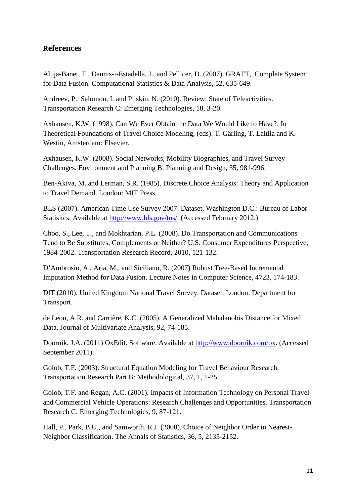## **References**

Aluja-Banet, T., Daunis-i-Estadella, J., and Pellicer, D. (2007). GRAFT, Complete System for Data Fusion. Computational Statistics & Data Analysis, 52, 635-649.

Andreev, P., Salomon, I. and Pliskin, N. (2010). Review: State of Teleactivities. Transportation Research C: Emerging Technologies, 18, 3-20.

Axhausen, K.W. (1998). Can We Ever Obtain the Data We Would Like to Have?. In Theoretical Foundations of Travel Choice Modeling, (eds). T. Gärling, T. Laitila and K. Westin, Amsterdam: Elsevier.

Axhausen, K.W. (2008). Social Networks, Mobility Biographies, and Travel Survey Challenges. Environment and Planning B: Planning and Design, 35, 981-996.

Ben-Akiva, M. and Lerman, S.R. (1985). Discrete Choice Analysis: Theory and Application to Travel Demand. London: MIT Press.

BLS (2007). American Time Use Survey 2007. Dataset. Washington D.C.: Bureau of Labor Statisitcs. Available at http://www.bls.gov/tus/. (Accessed February 2012.)

Choo, S., Lee, T., and Mokhtarian, P.L. (2008). Do Transportation and Communications Tend to Be Substitutes, Complements or Neither? U.S. Consumer Expenditures Perspective, 1984-2002. Transportation Research Record, 2010, 121-132.

D'Ambrosio, A., Aria, M., and Siciliano, R. (2007) Robust Tree-Based Incremental Imputation Method for Data Fusion. Lecture Notes in Computer Science, 4723, 174-183.

DfT (2010). United Kingdom National Travel Survey. Dataset. London: Department for Transport.

de Leon, A.R. and Carrière, K.C. (2005). A Generalized Mahalanobis Distance for Mixed Data. Journal of Multivariate Analysis, 92, 74-185.

Doornik, J.A. (2011) OxEdit. Software. Available at http://www.doornik.com/ox. (Accessed September 2011).

Golob, T.F. (2003). Structural Equation Modeling for Travel Behaviour Research. Transportation Research Part B: Methodological, 37, 1, 1-25.

Golob, T.F. and Regan, A.C. (2001). Impacts of Information Technology on Personal Travel and Commercial Vehicle Operations: Research Challenges and Opportunities. Transportation Research C: Emerging Technologies, 9, 87-121.

Hall, P., Park, B.U., and Samworth, R.J. (2008). Choice of Neighbor Order in Nearest-Neighbor Classification. The Annals of Statistics, 36, 5, 2135-2152.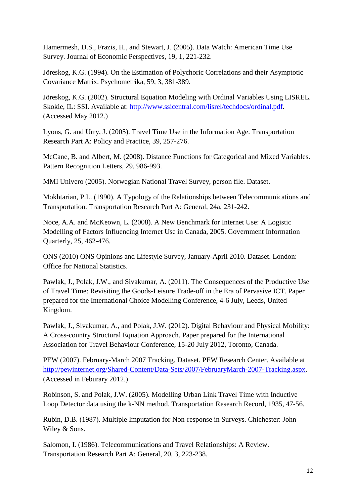Hamermesh, D.S., Frazis, H., and Stewart, J. (2005). Data Watch: American Time Use Survey. Journal of Economic Perspectives, 19, 1, 221-232.

Jöreskog, K.G. (1994). On the Estimation of Polychoric Correlations and their Asymptotic Covariance Matrix. Psychometrika, 59, 3, 381-389.

Jöreskog, K.G. (2002). Structural Equation Modeling with Ordinal Variables Using LISREL. Skokie, IL: SSI. Available at: http://www.ssicentral.com/lisrel/techdocs/ordinal.pdf. (Accessed May 2012.)

Lyons, G. and Urry, J. (2005). Travel Time Use in the Information Age. Transportation Research Part A: Policy and Practice, 39, 257-276.

McCane, B. and Albert, M. (2008). Distance Functions for Categorical and Mixed Variables. Pattern Recognition Letters, 29, 986-993.

MMI Univero (2005). Norwegian National Travel Survey, person file. Dataset.

Mokhtarian, P.L. (1990). A Typology of the Relationships between Telecommunications and Transportation. Transportation Research Part A: General, 24a, 231-242.

Noce, A.A. and McKeown, L. (2008). A New Benchmark for Internet Use: A Logistic Modelling of Factors Influencing Internet Use in Canada, 2005. Government Information Quarterly, 25, 462-476.

ONS (2010) ONS Opinions and Lifestyle Survey, January-April 2010. Dataset. London: Office for National Statistics.

Pawlak, J., Polak, J.W., and Sivakumar, A. (2011). The Consequences of the Productive Use of Travel Time: Revisiting the Goods-Leisure Trade-off in the Era of Pervasive ICT. Paper prepared for the International Choice Modelling Conference, 4-6 July, Leeds, United Kingdom.

Pawlak, J., Sivakumar, A., and Polak, J.W. (2012). Digital Behaviour and Physical Mobility: A Cross-country Structural Equation Approach. Paper prepared for the International Association for Travel Behaviour Conference, 15-20 July 2012, Toronto, Canada.

PEW (2007). February-March 2007 Tracking. Dataset. PEW Research Center. Available at http://pewinternet.org/Shared-Content/Data-Sets/2007/FebruaryMarch-2007-Tracking.aspx. (Accessed in Feburary 2012.)

Robinson, S. and Polak, J.W. (2005). Modelling Urban Link Travel Time with Inductive Loop Detector data using the k-NN method. Transportation Research Record, 1935, 47-56.

Rubin, D.B. (1987). Multiple Imputation for Non-response in Surveys. Chichester: John Wiley & Sons.

Salomon, I. (1986). Telecommunications and Travel Relationships: A Review. Transportation Research Part A: General, 20, 3, 223-238.